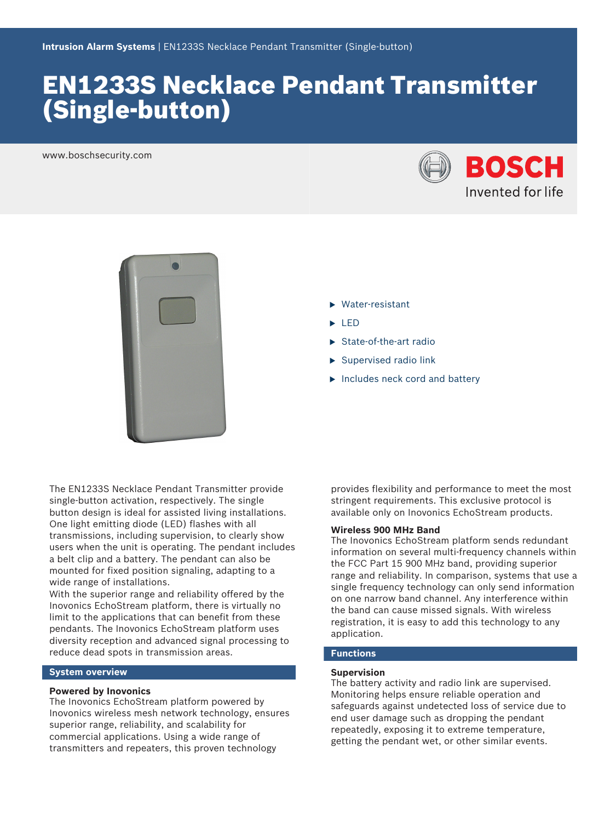# EN1233S Necklace Pendant Transmitter (Single‑button)

www.boschsecurity.com





- $\blacktriangleright$  Water-resistant
- $\blacktriangleright$  LED
- $\blacktriangleright$  State-of-the-art radio
- $\blacktriangleright$  Supervised radio link
- $\blacktriangleright$  Includes neck cord and battery

The EN1233S Necklace Pendant Transmitter provide single-button activation, respectively. The single button design is ideal for assisted living installations. One light emitting diode (LED) flashes with all transmissions, including supervision, to clearly show users when the unit is operating. The pendant includes a belt clip and a battery. The pendant can also be mounted for fixed position signaling, adapting to a wide range of installations.

With the superior range and reliability offered by the Inovonics EchoStream platform, there is virtually no limit to the applications that can benefit from these pendants. The Inovonics EchoStream platform uses diversity reception and advanced signal processing to reduce dead spots in transmission areas.

# **System overview**

# **Powered by Inovonics**

The Inovonics EchoStream platform powered by Inovonics wireless mesh network technology, ensures superior range, reliability, and scalability for commercial applications. Using a wide range of transmitters and repeaters, this proven technology

provides flexibility and performance to meet the most stringent requirements. This exclusive protocol is available only on Inovonics EchoStream products.

# **Wireless 900 MHz Band**

The Inovonics EchoStream platform sends redundant information on several multi-frequency channels within the FCC Part 15 900 MHz band, providing superior range and reliability. In comparison, systems that use a single frequency technology can only send information on one narrow band channel. Any interference within the band can cause missed signals. With wireless registration, it is easy to add this technology to any application.

# **Functions**

#### **Supervision**

The battery activity and radio link are supervised. Monitoring helps ensure reliable operation and safeguards against undetected loss of service due to end user damage such as dropping the pendant repeatedly, exposing it to extreme temperature, getting the pendant wet, or other similar events.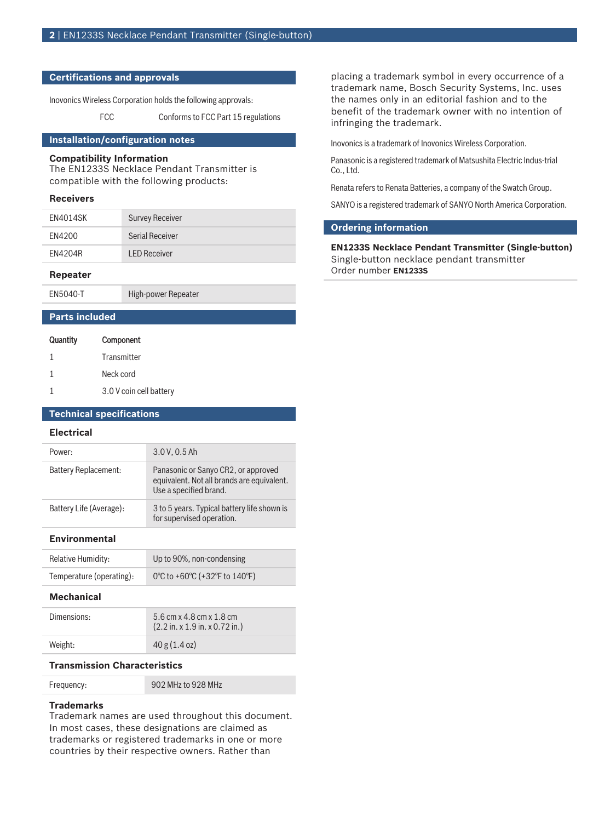# **Certifications and approvals**

Inovonics Wireless Corporation holds the following approvals:

FCC Conforms to FCC Part 15 regulations

# **Installation/configuration notes**

# **Compatibility Information**

The EN1233S Necklace Pendant Transmitter is compatible with the following products:

### **Receivers**

| EN4014SK | <b>Survey Receiver</b> |
|----------|------------------------|
| FN4200   | <b>Serial Receiver</b> |
| EN4204R  | <b>LED Receiver</b>    |

### **Repeater**

EN5040-T High-power Repeater

# **Parts included**

| Quantity | Component               |
|----------|-------------------------|
| 1        | Transmitter             |
| 1        | Neck cord               |
|          | 3.0 V coin cell battery |

# **Technical specifications**

#### **Electrical**

| Power:                  | 3.0 V, 0.5 Ah                                                                                               |
|-------------------------|-------------------------------------------------------------------------------------------------------------|
| Battery Replacement:    | Panasonic or Sanyo CR2, or approved<br>equivalent. Not all brands are equivalent.<br>Use a specified brand. |
| Battery Life (Average): | 3 to 5 years. Typical battery life shown is<br>for supervised operation.                                    |

#### **Environmental**

| <b>Relative Humidity:</b> | Up to 90%, non-condensing     |
|---------------------------|-------------------------------|
| Temperature (operating):  | 0°C to +60°C (+32°F to 140°F) |

# **Mechanical**

| Dimensions: | 5.6 cm x 4.8 cm x 1.8 cm<br>$(2.2 \text{ in. x } 1.9 \text{ in. x } 0.72 \text{ in.})$ |
|-------------|----------------------------------------------------------------------------------------|
| Weight:     | 40 g (1.4 oz)                                                                          |

### **Transmission Characteristics**

| Frequency: | 902 MHz to 928 MHz |
|------------|--------------------|
|------------|--------------------|

# **Trademarks**

Trademark names are used throughout this document. In most cases, these designations are claimed as trademarks or registered trademarks in one or more countries by their respective owners. Rather than

placing a trademark symbol in every occurrence of a trademark name, Bosch Security Systems, Inc. uses the names only in an editorial fashion and to the benefit of the trademark owner with no intention of infringing the trademark.

Inovonics is a trademark of Inovonics Wireless Corporation.

Panasonic is a registered trademark of Matsushita Electric Indus-trial Co., Ltd.

Renata refers to Renata Batteries, a company of the Swatch Group.

SANYO is a registered trademark of SANYO North America Corporation.

# **Ordering information**

**EN1233S Necklace Pendant Transmitter (Single‑button)** Single-button necklace pendant transmitter Order number **EN1233S**